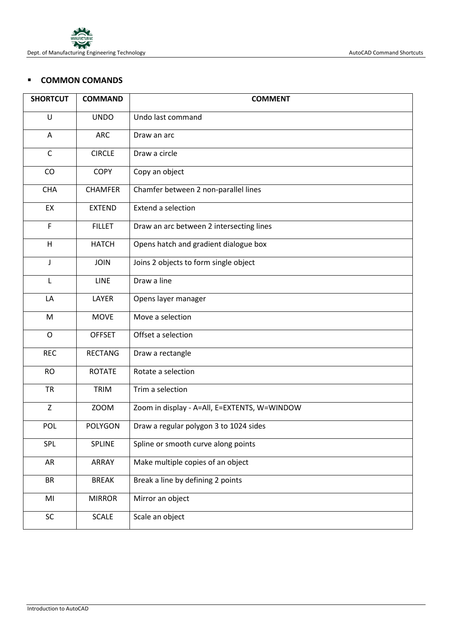

## **E** COMMON COMANDS

| <b>SHORTCUT</b> | <b>COMMAND</b> | <b>COMMENT</b>                               |
|-----------------|----------------|----------------------------------------------|
| U               | <b>UNDO</b>    | Undo last command                            |
| A               | <b>ARC</b>     | Draw an arc                                  |
| $\mathsf{C}$    | <b>CIRCLE</b>  | Draw a circle                                |
| CO              | <b>COPY</b>    | Copy an object                               |
| <b>CHA</b>      | <b>CHAMFER</b> | Chamfer between 2 non-parallel lines         |
| EX              | <b>EXTEND</b>  | Extend a selection                           |
| F               | <b>FILLET</b>  | Draw an arc between 2 intersecting lines     |
| H               | <b>HATCH</b>   | Opens hatch and gradient dialogue box        |
| J               | <b>JOIN</b>    | Joins 2 objects to form single object        |
| L               | <b>LINE</b>    | Draw a line                                  |
| LA              | LAYER          | Opens layer manager                          |
| M               | <b>MOVE</b>    | Move a selection                             |
| $\mathsf O$     | <b>OFFSET</b>  | Offset a selection                           |
| <b>REC</b>      | <b>RECTANG</b> | Draw a rectangle                             |
| <b>RO</b>       | <b>ROTATE</b>  | Rotate a selection                           |
| <b>TR</b>       | TRIM           | Trim a selection                             |
| Z               | <b>ZOOM</b>    | Zoom in display - A=All, E=EXTENTS, W=WINDOW |
| <b>POL</b>      | <b>POLYGON</b> | Draw a regular polygon 3 to 1024 sides       |
| SPL             | SPLINE         | Spline or smooth curve along points          |
| AR              | ARRAY          | Make multiple copies of an object            |
| <b>BR</b>       | <b>BREAK</b>   | Break a line by defining 2 points            |
| MI              | <b>MIRROR</b>  | Mirror an object                             |
| SC              | <b>SCALE</b>   | Scale an object                              |